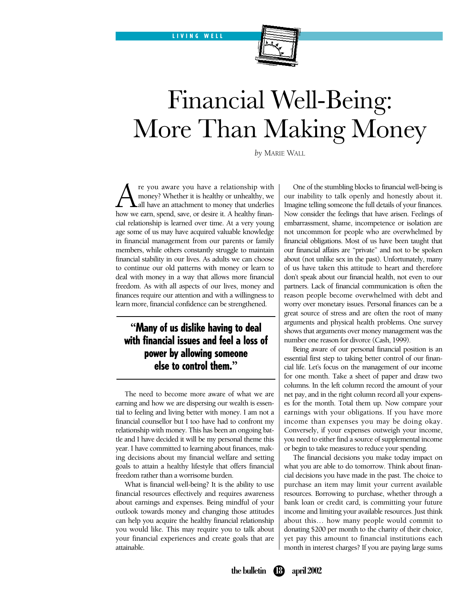

# Financial Well-Being: More Than Making Money

*by* MARIE WALL

**A** re you aware you have a relationship with money? Whether it is healthy or unhealthy, we hall have an attachment to money that underlies how we earn, spend, save, or desire it. A healthy finanmoney? Whether it is healthy or unhealthy, we all have an attachment to money that underlies how we earn, spend, save, or desire it. A healthy financial relationship is learned over time. At a very young age some of us may have acquired valuable knowledge in financial management from our parents or family members, while others constantly struggle to maintain financial stability in our lives. As adults we can choose to continue our old patterns with money or learn to deal with money in a way that allows more financial freedom. As with all aspects of our lives, money and finances require our attention and with a willingness to learn more, financial confidence can be strengthened.

LIVING WELL

### **"**Many of us dislike having to deal with financial issues and feel a loss of power by allowing someone else to control them.**"**

The need to become more aware of what we are earning and how we are dispersing our wealth is essential to feeling and living better with money. I am not a financial counsellor but I too have had to confront my relationship with money. This has been an ongoing battle and I have decided it will be my personal theme this year. I have committed to learning about finances, making decisions about my financial welfare and setting goals to attain a healthy lifestyle that offers financial freedom rather than a worrisome burden.

What is financial well-being? It is the ability to use financial resources effectively and requires awareness about earnings and expenses. Being mindful of your outlook towards money and changing those attitudes can help you acquire the healthy financial relationship you would like. This may require you to talk about your financial experiences and create goals that are attainable.

One of the stumbling blocks to financial well-being is our inability to talk openly and honestly about it. Imagine telling someone the full details of your finances. Now consider the feelings that have arisen. Feelings of embarrassment, shame, incompetence or isolation are not uncommon for people who are overwhelmed by financial obligations. Most of us have been taught that our financial affairs are "private" and not to be spoken about (not unlike sex in the past). Unfortunately, many of us have taken this attitude to heart and therefore don't speak about our financial health, not even to our partners. Lack of financial communication is often the reason people become overwhelmed with debt and worry over monetary issues. Personal finances can be a great source of stress and are often the root of many arguments and physical health problems. One survey shows that arguments over money management was the number one reason for divorce (Cash, 1999).

Being aware of our personal financial position is an essential first step to taking better control of our financial life. Let's focus on the management of our income for one month. Take a sheet of paper and draw two columns. In the left column record the amount of your net pay, and in the right column record all your expenses for the month. Total them up. Now compare your earnings with your obligations. If you have more income than expenses you may be doing okay. Conversely, if your expenses outweigh your income, you need to either find a source of supplemental income or begin to take measures to reduce your spending.

The financial decisions you make today impact on what you are able to do tomorrow. Think about financial decisions you have made in the past. The choice to purchase an item may limit your current available resources. Borrowing to purchase, whether through a bank loan or credit card, is committing your future income and limiting your available resources. Just think about this… how many people would commit to donating \$200 per month to the charity of their choice, yet pay this amount to financial institutions each month in interest charges? If you are paying large sums